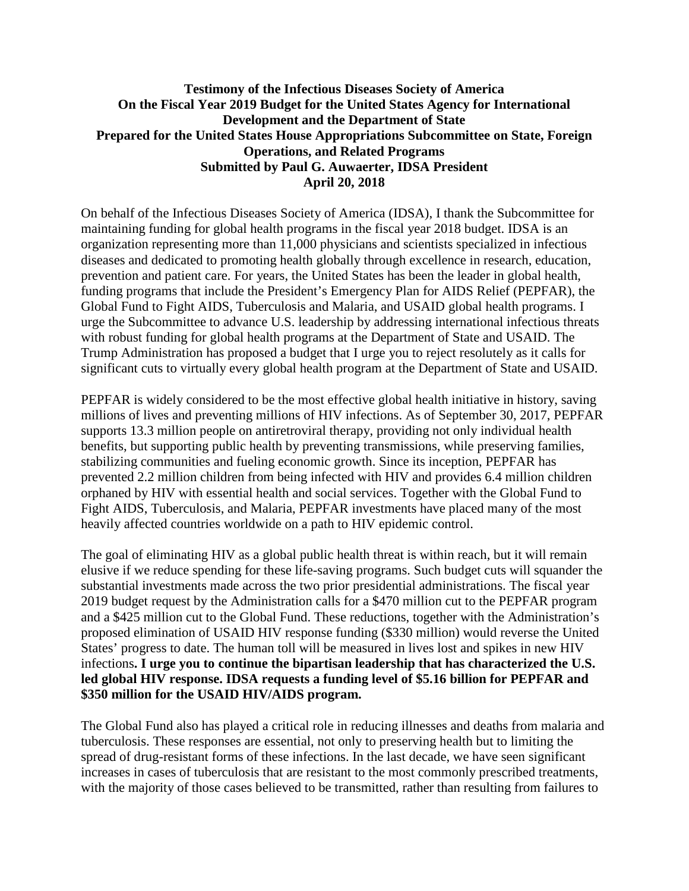## **Testimony of the Infectious Diseases Society of America On the Fiscal Year 2019 Budget for the United States Agency for International Development and the Department of State Prepared for the United States House Appropriations Subcommittee on State, Foreign Operations, and Related Programs Submitted by Paul G. Auwaerter, IDSA President April 20, 2018**

On behalf of the Infectious Diseases Society of America (IDSA), I thank the Subcommittee for maintaining funding for global health programs in the fiscal year 2018 budget. IDSA is an organization representing more than 11,000 physicians and scientists specialized in infectious diseases and dedicated to promoting health globally through excellence in research, education, prevention and patient care. For years, the United States has been the leader in global health, funding programs that include the President's Emergency Plan for AIDS Relief (PEPFAR), the Global Fund to Fight AIDS, Tuberculosis and Malaria, and USAID global health programs. I urge the Subcommittee to advance U.S. leadership by addressing international infectious threats with robust funding for global health programs at the Department of State and USAID. The Trump Administration has proposed a budget that I urge you to reject resolutely as it calls for significant cuts to virtually every global health program at the Department of State and USAID.

PEPFAR is widely considered to be the most effective global health initiative in history, saving millions of lives and preventing millions of HIV infections. As of September 30, 2017, PEPFAR supports 13.3 million people on antiretroviral therapy, providing not only individual health benefits, but supporting public health by preventing transmissions, while preserving families, stabilizing communities and fueling economic growth. Since its inception, PEPFAR has prevented 2.2 million children from being infected with HIV and provides 6.4 million children orphaned by HIV with essential health and social services. Together with the Global Fund to Fight AIDS, Tuberculosis, and Malaria, PEPFAR investments have placed many of the most heavily affected countries worldwide on a path to HIV epidemic control.

The goal of eliminating HIV as a global public health threat is within reach, but it will remain elusive if we reduce spending for these life-saving programs. Such budget cuts will squander the substantial investments made across the two prior presidential administrations. The fiscal year 2019 budget request by the Administration calls for a \$470 million cut to the PEPFAR program and a \$425 million cut to the Global Fund. These reductions, together with the Administration's proposed elimination of USAID HIV response funding (\$330 million) would reverse the United States' progress to date. The human toll will be measured in lives lost and spikes in new HIV infections**. I urge you to continue the bipartisan leadership that has characterized the U.S. led global HIV response. IDSA requests a funding level of \$5.16 billion for PEPFAR and \$350 million for the USAID HIV/AIDS program.**

The Global Fund also has played a critical role in reducing illnesses and deaths from malaria and tuberculosis. These responses are essential, not only to preserving health but to limiting the spread of drug-resistant forms of these infections. In the last decade, we have seen significant increases in cases of tuberculosis that are resistant to the most commonly prescribed treatments, with the majority of those cases believed to be transmitted, rather than resulting from failures to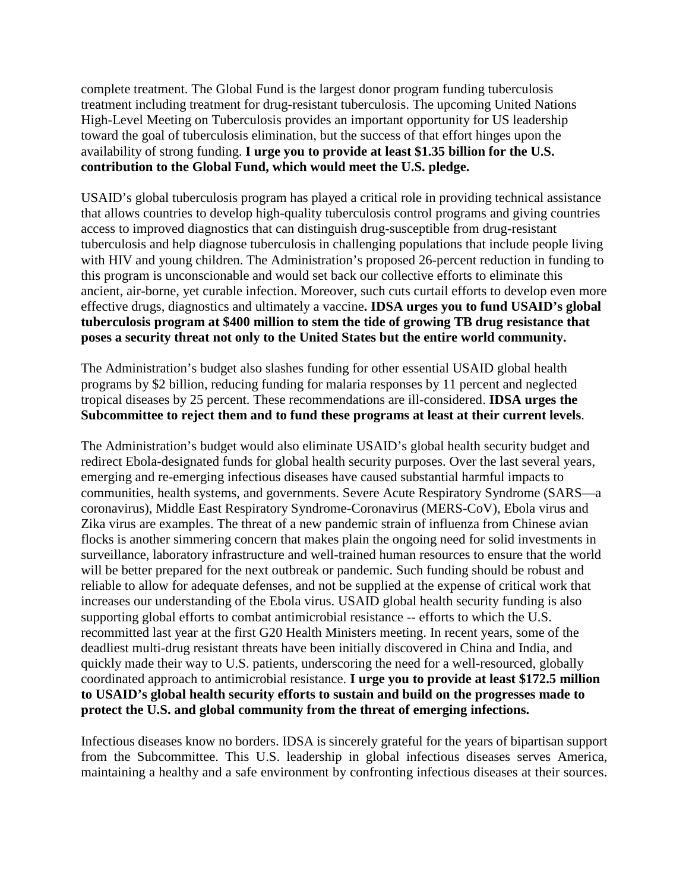complete treatment. The Global Fund is the largest donor program funding tuberculosis treatment including treatment for drug-resistant tuberculosis. The upcoming United Nations High-Level Meeting on Tuberculosis provides an important opportunity for US leadership toward the goal of tuberculosis elimination, but the success of that effort hinges upon the availability of strong funding. **I urge you to provide at least \$1.35 billion for the U.S. contribution to the Global Fund, which would meet the U.S. pledge.**

USAID's global tuberculosis program has played a critical role in providing technical assistance that allows countries to develop high-quality tuberculosis control programs and giving countries access to improved diagnostics that can distinguish drug-susceptible from drug-resistant tuberculosis and help diagnose tuberculosis in challenging populations that include people living with HIV and young children. The Administration's proposed 26-percent reduction in funding to this program is unconscionable and would set back our collective efforts to eliminate this ancient, air-borne, yet curable infection. Moreover, such cuts curtail efforts to develop even more effective drugs, diagnostics and ultimately a vaccine**. IDSA urges you to fund USAID's global tuberculosis program at \$400 million to stem the tide of growing TB drug resistance that poses a security threat not only to the United States but the entire world community.**

The Administration's budget also slashes funding for other essential USAID global health programs by \$2 billion, reducing funding for malaria responses by 11 percent and neglected tropical diseases by 25 percent. These recommendations are ill-considered. **IDSA urges the Subcommittee to reject them and to fund these programs at least at their current levels**.

The Administration's budget would also eliminate USAID's global health security budget and redirect Ebola-designated funds for global health security purposes. Over the last several years, emerging and re-emerging infectious diseases have caused substantial harmful impacts to communities, health systems, and governments. Severe Acute Respiratory Syndrome (SARS—a coronavirus), Middle East Respiratory Syndrome-Coronavirus (MERS-CoV), Ebola virus and Zika virus are examples. The threat of a new pandemic strain of influenza from Chinese avian flocks is another simmering concern that makes plain the ongoing need for solid investments in surveillance, laboratory infrastructure and well-trained human resources to ensure that the world will be better prepared for the next outbreak or pandemic. Such funding should be robust and reliable to allow for adequate defenses, and not be supplied at the expense of critical work that increases our understanding of the Ebola virus. USAID global health security funding is also supporting global efforts to combat antimicrobial resistance -- efforts to which the U.S. recommitted last year at the first G20 Health Ministers meeting. In recent years, some of the deadliest multi-drug resistant threats have been initially discovered in China and India, and quickly made their way to U.S. patients, underscoring the need for a well-resourced, globally coordinated approach to antimicrobial resistance. **I urge you to provide at least \$172.5 million to USAID's global health security efforts to sustain and build on the progresses made to protect the U.S. and global community from the threat of emerging infections.**

Infectious diseases know no borders. IDSA is sincerely grateful for the years of bipartisan support from the Subcommittee. This U.S. leadership in global infectious diseases serves America, maintaining a healthy and a safe environment by confronting infectious diseases at their sources.